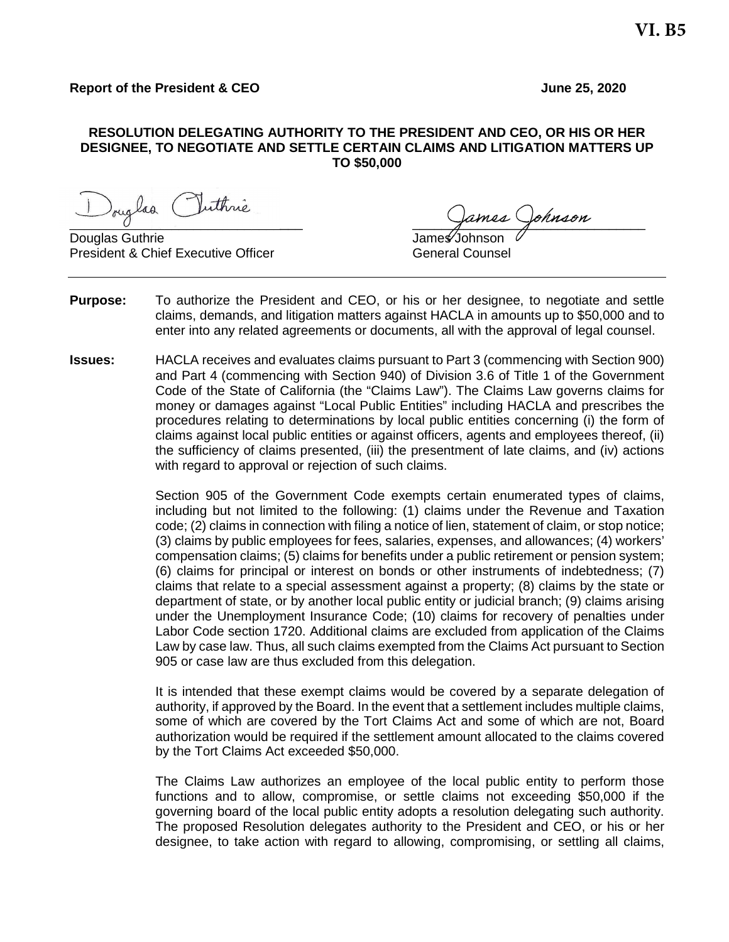#### **RESOLUTION DELEGATING AUTHORITY TO THE PRESIDENT AND CEO, OR HIS OR HER DESIGNEE, TO NEGOTIATE AND SETTLE CERTAIN CLAIMS AND LITIGATION MATTERS UP TO \$50,000**

Iouglaa Cluthne

Douglas Guthrie President & Chief Executive Officer General Counsel

- **Purpose:** To authorize the President and CEO, or his or her designee, to negotiate and settle claims, demands, and litigation matters against HACLA in amounts up to \$50,000 and to enter into any related agreements or documents, all with the approval of legal counsel.
- **Issues:** HACLA receives and evaluates claims pursuant to Part 3 (commencing with Section 900) and Part 4 (commencing with Section 940) of Division 3.6 of Title 1 of the Government Code of the State of California (the "Claims Law"). The Claims Law governs claims for money or damages against "Local Public Entities" including HACLA and prescribes the procedures relating to determinations by local public entities concerning (i) the form of claims against local public entities or against officers, agents and employees thereof, (ii) the sufficiency of claims presented, (iii) the presentment of late claims, and (iv) actions with regard to approval or rejection of such claims.

Section 905 of the Government Code exempts certain enumerated types of claims, including but not limited to the following: (1) claims under the Revenue and Taxation code; (2) claims in connection with filing a notice of lien, statement of claim, or stop notice; (3) claims by public employees for fees, salaries, expenses, and allowances; (4) workers' compensation claims; (5) claims for benefits under a public retirement or pension system; (6) claims for principal or interest on bonds or other instruments of indebtedness; (7) claims that relate to a special assessment against a property; (8) claims by the state or department of state, or by another local public entity or judicial branch; (9) claims arising under the Unemployment Insurance Code; (10) claims for recovery of penalties under Labor Code section 1720. Additional claims are excluded from application of the Claims Law by case law. Thus, all such claims exempted from the Claims Act pursuant to Section 905 or case law are thus excluded from this delegation.

It is intended that these exempt claims would be covered by a separate delegation of authority, if approved by the Board. In the event that a settlement includes multiple claims, some of which are covered by the Tort Claims Act and some of which are not, Board authorization would be required if the settlement amount allocated to the claims covered by the Tort Claims Act exceeded \$50,000.

The Claims Law authorizes an employee of the local public entity to perform those functions and to allow, compromise, or settle claims not exceeding \$50,000 if the governing board of the local public entity adopts a resolution delegating such authority. The proposed Resolution delegates authority to the President and CEO, or his or her designee, to take action with regard to allowing, compromising, or settling all claims,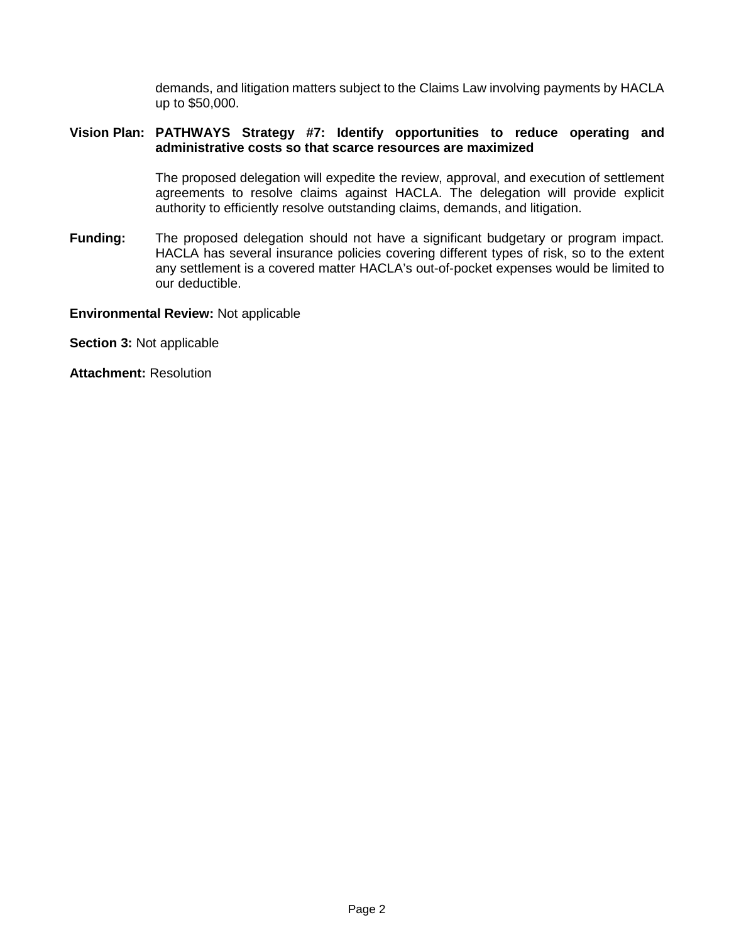demands, and litigation matters subject to the Claims Law involving payments by HACLA up to \$50,000.

## **Vision Plan: PATHWAYS Strategy #7: Identify opportunities to reduce operating and administrative costs so that scarce resources are maximized**

The proposed delegation will expedite the review, approval, and execution of settlement agreements to resolve claims against HACLA. The delegation will provide explicit authority to efficiently resolve outstanding claims, demands, and litigation.

**Funding:** The proposed delegation should not have a significant budgetary or program impact. HACLA has several insurance policies covering different types of risk, so to the extent any settlement is a covered matter HACLA's out-of-pocket expenses would be limited to our deductible.

## **Environmental Review:** Not applicable

**Section 3:** Not applicable

**Attachment:** Resolution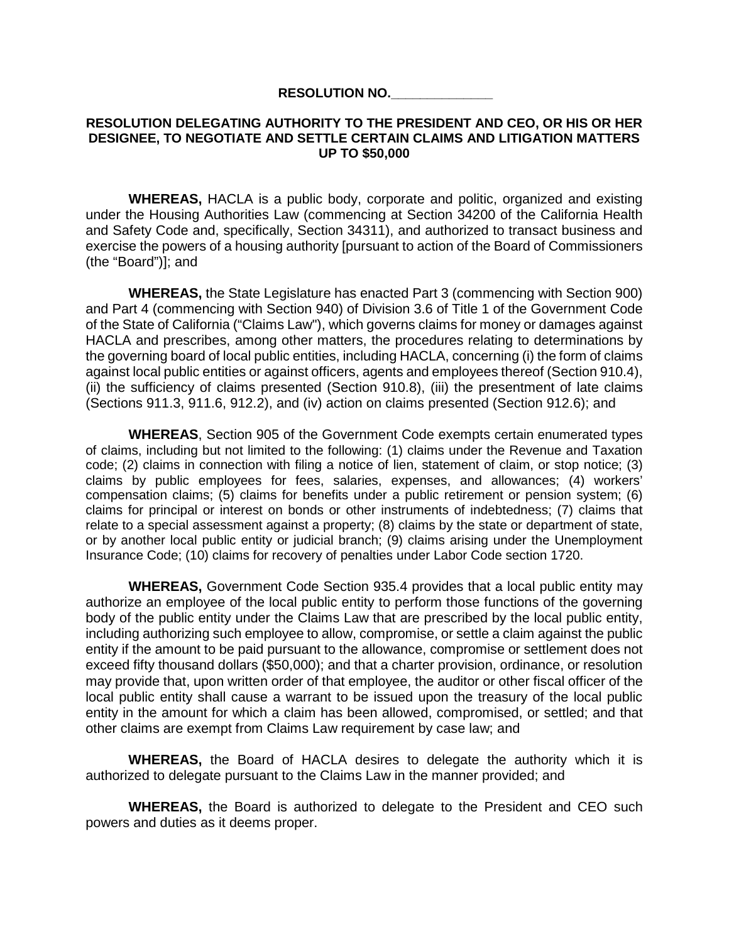#### **RESOLUTION NO.\_\_\_\_\_\_\_\_\_\_\_\_\_\_**

### **RESOLUTION DELEGATING AUTHORITY TO THE PRESIDENT AND CEO, OR HIS OR HER DESIGNEE, TO NEGOTIATE AND SETTLE CERTAIN CLAIMS AND LITIGATION MATTERS UP TO \$50,000**

**WHEREAS,** HACLA is a public body, corporate and politic, organized and existing under the Housing Authorities Law (commencing at Section 34200 of the California Health and Safety Code and, specifically, Section 34311), and authorized to transact business and exercise the powers of a housing authority [pursuant to action of the Board of Commissioners (the "Board")]; and

**WHEREAS,** the State Legislature has enacted Part 3 (commencing with Section 900) and Part 4 (commencing with Section 940) of Division 3.6 of Title 1 of the Government Code of the State of California ("Claims Law"), which governs claims for money or damages against HACLA and prescribes, among other matters, the procedures relating to determinations by the governing board of local public entities, including HACLA, concerning (i) the form of claims against local public entities or against officers, agents and employees thereof (Section 910.4), (ii) the sufficiency of claims presented (Section 910.8), (iii) the presentment of late claims (Sections 911.3, 911.6, 912.2), and (iv) action on claims presented (Section 912.6); and

**WHEREAS**, Section 905 of the Government Code exempts certain enumerated types of claims, including but not limited to the following: (1) claims under the Revenue and Taxation code; (2) claims in connection with filing a notice of lien, statement of claim, or stop notice; (3) claims by public employees for fees, salaries, expenses, and allowances; (4) workers' compensation claims; (5) claims for benefits under a public retirement or pension system; (6) claims for principal or interest on bonds or other instruments of indebtedness; (7) claims that relate to a special assessment against a property; (8) claims by the state or department of state, or by another local public entity or judicial branch; (9) claims arising under the Unemployment Insurance Code; (10) claims for recovery of penalties under Labor Code section 1720.

**WHEREAS,** Government Code Section 935.4 provides that a local public entity may authorize an employee of the local public entity to perform those functions of the governing body of the public entity under the Claims Law that are prescribed by the local public entity, including authorizing such employee to allow, compromise, or settle a claim against the public entity if the amount to be paid pursuant to the allowance, compromise or settlement does not exceed fifty thousand dollars (\$50,000); and that a charter provision, ordinance, or resolution may provide that, upon written order of that employee, the auditor or other fiscal officer of the local public entity shall cause a warrant to be issued upon the treasury of the local public entity in the amount for which a claim has been allowed, compromised, or settled; and that other claims are exempt from Claims Law requirement by case law; and

**WHEREAS,** the Board of HACLA desires to delegate the authority which it is authorized to delegate pursuant to the Claims Law in the manner provided; and

**WHEREAS,** the Board is authorized to delegate to the President and CEO such powers and duties as it deems proper.